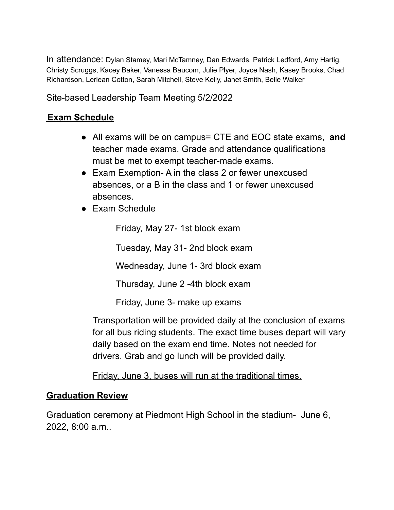In attendance: Dylan Stamey, Mari McTamney, Dan Edwards, Patrick Ledford, Amy Hartig, Christy Scruggs, Kacey Baker, Vanessa Baucom, Julie Plyer, Joyce Nash, Kasey Brooks, Chad Richardson, Lerlean Cotton, Sarah Mitchell, Steve Kelly, Janet Smith, Belle Walker

Site-based Leadership Team Meeting 5/2/2022

# **Exam Schedule**

- All exams will be on campus= CTE and EOC state exams, **and** teacher made exams. Grade and attendance qualifications must be met to exempt teacher-made exams.
- Exam Exemption- A in the class 2 or fewer unexcused absences, or a B in the class and 1 or fewer unexcused absences.
- Exam Schedule

Friday, May 27- 1st block exam

Tuesday, May 31- 2nd block exam

Wednesday, June 1- 3rd block exam

Thursday, June 2 -4th block exam

Friday, June 3- make up exams

Transportation will be provided daily at the conclusion of exams for all bus riding students. The exact time buses depart will vary daily based on the exam end time. Notes not needed for drivers. Grab and go lunch will be provided daily.

Friday, June 3, buses will run at the traditional times.

# **Graduation Review**

Graduation ceremony at Piedmont High School in the stadium- June 6, 2022, 8:00 a.m..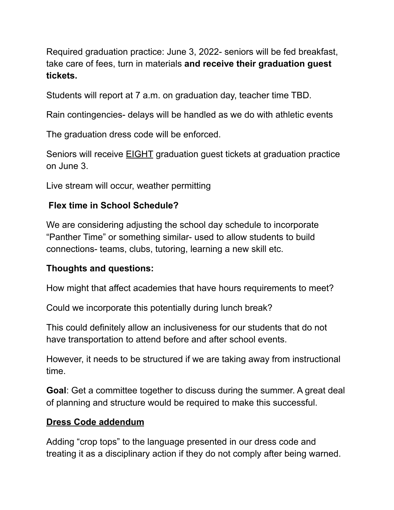Required graduation practice: June 3, 2022- seniors will be fed breakfast, take care of fees, turn in materials **and receive their graduation guest tickets.**

Students will report at 7 a.m. on graduation day, teacher time TBD.

Rain contingencies- delays will be handled as we do with athletic events

The graduation dress code will be enforced.

Seniors will receive EIGHT graduation guest tickets at graduation practice on June 3.

Live stream will occur, weather permitting

# **Flex time in School Schedule?**

We are considering adjusting the school day schedule to incorporate "Panther Time" or something similar- used to allow students to build connections- teams, clubs, tutoring, learning a new skill etc.

# **Thoughts and questions:**

How might that affect academies that have hours requirements to meet?

Could we incorporate this potentially during lunch break?

This could definitely allow an inclusiveness for our students that do not have transportation to attend before and after school events.

However, it needs to be structured if we are taking away from instructional time.

**Goal**: Get a committee together to discuss during the summer. A great deal of planning and structure would be required to make this successful.

# **Dress Code addendum**

Adding "crop tops" to the language presented in our dress code and treating it as a disciplinary action if they do not comply after being warned.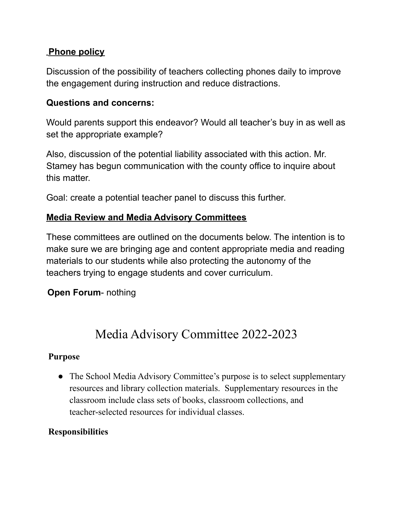# **Phone policy**

Discussion of the possibility of teachers collecting phones daily to improve the engagement during instruction and reduce distractions.

#### **Questions and concerns:**

Would parents support this endeavor? Would all teacher's buy in as well as set the appropriate example?

Also, discussion of the potential liability associated with this action. Mr. Stamey has begun communication with the county office to inquire about this matter.

Goal: create a potential teacher panel to discuss this further.

#### **Media Review and Media Advisory Committees**

These committees are outlined on the documents below. The intention is to make sure we are bringing age and content appropriate media and reading materials to our students while also protecting the autonomy of the teachers trying to engage students and cover curriculum.

**Open Forum**- nothing

# Media Advisory Committee 2022-2023

#### **Purpose**

• The School Media Advisory Committee's purpose is to select supplementary resources and library collection materials. Supplementary resources in the classroom include class sets of books, classroom collections, and teacher-selected resources for individual classes.

# **Responsibilities**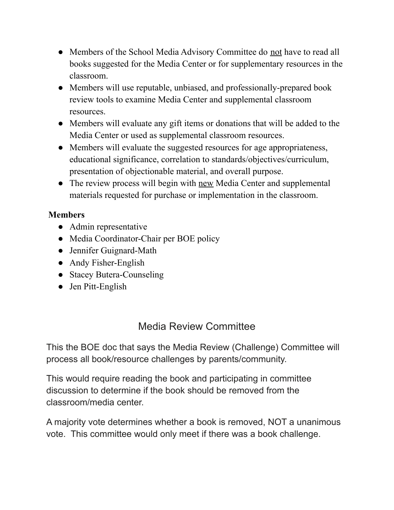- Members of the School Media Advisory Committee do not have to read all books suggested for the Media Center or for supplementary resources in the classroom.
- Members will use reputable, unbiased, and professionally-prepared book review tools to examine Media Center and supplemental classroom resources.
- Members will evaluate any gift items or donations that will be added to the Media Center or used as supplemental classroom resources.
- Members will evaluate the suggested resources for age appropriateness, educational significance, correlation to standards/objectives/curriculum, presentation of objectionable material, and overall purpose.
- The review process will begin with new Media Center and supplemental materials requested for purchase or implementation in the classroom.

# **Members**

- Admin representative
- Media Coordinator-Chair per BOE policy
- Jennifer Guignard-Math
- Andy Fisher-English
- Stacey Butera-Counseling
- Jen Pitt-English

# Media Review Committee

This the BOE doc that says the Media Review (Challenge) Committee will process all book/resource challenges by parents/community.

This would require reading the book and participating in committee discussion to determine if the book should be removed from the classroom/media center.

A majority vote determines whether a book is removed, NOT a unanimous vote. This committee would only meet if there was a book challenge.